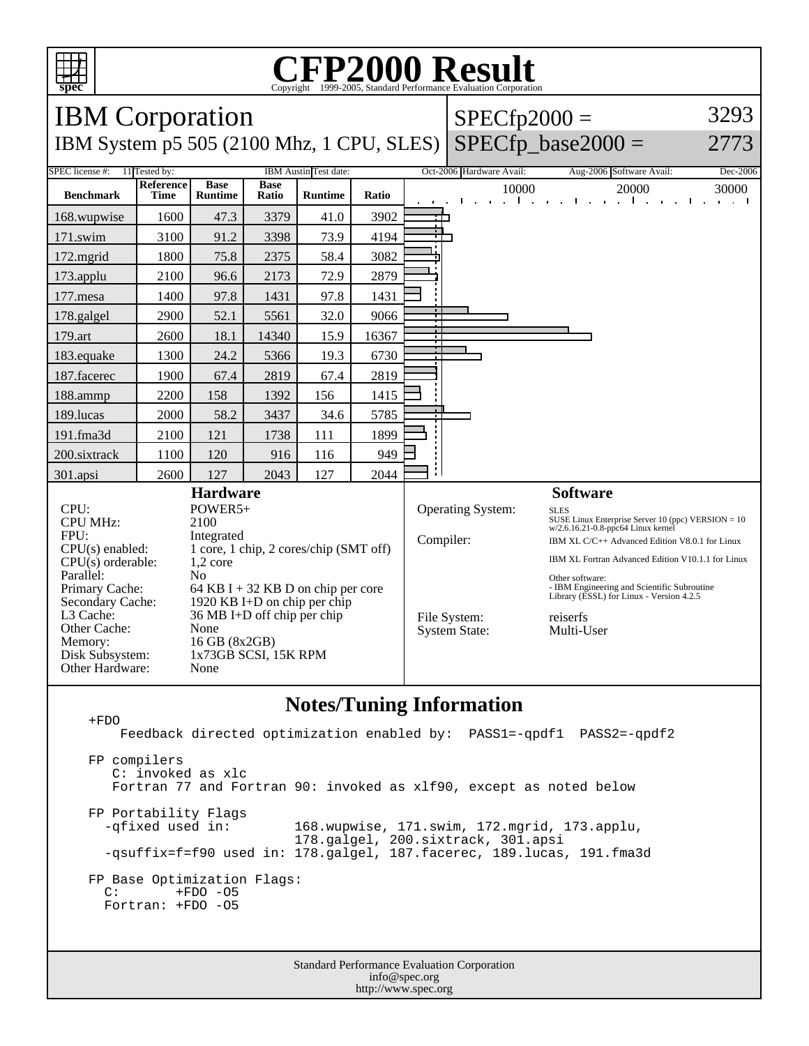

## C<sub>opyright</sub> ©1999-2005, Standard Performance Evaluation Corporation

| <b>IBM</b> Corporation                                                    |                                               |                               |                      |                |                                                                |                          | $SPECfp2000 =$                                                                                            |                                                                                 |                                                         |
|---------------------------------------------------------------------------|-----------------------------------------------|-------------------------------|----------------------|----------------|----------------------------------------------------------------|--------------------------|-----------------------------------------------------------------------------------------------------------|---------------------------------------------------------------------------------|---------------------------------------------------------|
| IBM System p5 505 (2100 Mhz, 1 CPU, SLES) SPECfp_base2000 =               |                                               |                               |                      |                |                                                                |                          |                                                                                                           |                                                                                 | 2773                                                    |
| SPEC license #:<br>11 Tested by:                                          | IBM Austin Test date:                         |                               |                      |                |                                                                | Oct-2006 Hardware Avail: | Aug-2006 Software Avail:                                                                                  | Dec-2006                                                                        |                                                         |
| <b>Benchmark</b>                                                          | Reference<br>Time                             | <b>Base</b><br><b>Runtime</b> | <b>Base</b><br>Ratio | <b>Runtime</b> | <b>Ratio</b>                                                   |                          | 10000                                                                                                     | 20000<br>$1 - 1 - 1$<br>and the state of the state of the state of<br>$\sim$ 1. | 30000<br>$\mathbf{L}$<br>and the state of the<br>$\sim$ |
| 168.wupwise                                                               | 1600                                          | 47.3                          | 3379                 | 41.0           | 3902                                                           |                          |                                                                                                           |                                                                                 |                                                         |
| 171.swim                                                                  | 3100                                          | 91.2                          | 3398                 | 73.9           | 4194                                                           |                          |                                                                                                           |                                                                                 |                                                         |
| 172.mgrid                                                                 | 1800                                          | 75.8                          | 2375                 | 58.4           | 3082                                                           |                          |                                                                                                           |                                                                                 |                                                         |
| 173.applu                                                                 | 2100                                          | 96.6                          | 2173                 | 72.9           | 2879                                                           |                          |                                                                                                           |                                                                                 |                                                         |
| $177$ .mesa                                                               | 1400                                          | 97.8                          | 1431                 | 97.8           | 1431                                                           |                          |                                                                                                           |                                                                                 |                                                         |
| 178.galgel                                                                | 2900                                          | 52.1                          | 5561                 | 32.0           | 9066                                                           |                          |                                                                                                           |                                                                                 |                                                         |
| 179.art                                                                   | 2600                                          | 18.1                          | 14340                | 15.9           | 16367                                                          |                          |                                                                                                           |                                                                                 |                                                         |
| 183.equake                                                                | 1300                                          | 24.2                          | 5366                 | 19.3           | 6730                                                           |                          |                                                                                                           |                                                                                 |                                                         |
| 187.facerec                                                               | 1900                                          | 67.4                          | 2819                 | 67.4           | 2819                                                           |                          |                                                                                                           |                                                                                 |                                                         |
| 188.ammp                                                                  | 2200                                          | 158                           | 1392                 | 156            | 1415                                                           |                          |                                                                                                           |                                                                                 |                                                         |
| 189.lucas                                                                 | 2000                                          | 58.2                          | 3437                 | 34.6           | 5785                                                           |                          |                                                                                                           |                                                                                 |                                                         |
| 191.fma3d                                                                 | 2100                                          | 121                           | 1738                 | 111            | 1899                                                           |                          |                                                                                                           |                                                                                 |                                                         |
| 200.sixtrack                                                              | 1100                                          | 120                           | 916                  | 116            | 949                                                            |                          |                                                                                                           |                                                                                 |                                                         |
| 301.apsi                                                                  | 2600                                          | 127                           | 2043                 | 127            | 2044                                                           |                          |                                                                                                           |                                                                                 |                                                         |
| <b>Hardware</b>                                                           |                                               |                               |                      |                |                                                                | <b>Software</b>          |                                                                                                           |                                                                                 |                                                         |
| CPU:<br><b>CPU MHz:</b><br>FPU:                                           | POWER5+<br>2100                               |                               |                      |                |                                                                | <b>Operating System:</b> | <b>SLES</b><br>SUSE Linux Enterprise Server 10 (ppc) VERSION $= 10$<br>w/2.6.16.21-0.8-ppc64 Linux kernel |                                                                                 |                                                         |
| Integrated<br>1 core, 1 chip, 2 cores/chip (SMT off)<br>$CPU(s)$ enabled: |                                               |                               |                      |                | Compiler:                                                      |                          |                                                                                                           | IBM XL C/C++ Advanced Edition V8.0.1 for Linux                                  |                                                         |
| $1,2$ core<br>$CPU(s)$ orderable:<br>Parallel:<br>N <sub>0</sub>          |                                               |                               |                      |                |                                                                |                          |                                                                                                           | IBM XL Fortran Advanced Edition V10.1.1 for Linux                               |                                                         |
| Primary Cache:<br>64 KB I + 32 KB D on chip per core                      |                                               |                               |                      |                |                                                                |                          | Other software:<br>- IBM Engineering and Scientific Subroutine                                            |                                                                                 |                                                         |
| Secondary Cache:                                                          | 1920 KB I+D on chip per chip                  |                               |                      |                |                                                                |                          | Library (ESSL) for Linux - Version 4.2.5                                                                  |                                                                                 |                                                         |
| L3 Cache:<br>Other Cache:                                                 | $36 \text{ MB I+D off chip per chip}$<br>None |                               |                      |                | File System:<br>reiserfs<br><b>System State:</b><br>Multi-User |                          |                                                                                                           |                                                                                 |                                                         |
| Memory:                                                                   | 16 GB (8x2GB)                                 |                               |                      |                |                                                                |                          |                                                                                                           |                                                                                 |                                                         |
| Disk Subsystem:<br>Other Hardware:                                        | 1x73GB SCSI, 15K RPM<br>None                  |                               |                      |                |                                                                |                          |                                                                                                           |                                                                                 |                                                         |

## **Notes/Tuning Information**

 +FDO Feedback directed optimization enabled by: PASS1=-qpdf1 PASS2=-qpdf2 FP compilers C: invoked as xlc Fortran 77 and Fortran 90: invoked as xlf90, except as noted below FP Portability Flags -qfixed used in: 168.wupwise, 171.swim, 172.mgrid, 173.applu, 178.galgel, 200.sixtrack, 301.apsi -qsuffix=f=f90 used in: 178.galgel, 187.facerec, 189.lucas, 191.fma3d FP Base Optimization Flags:<br>C: +FDO -05 +FDO -05 Fortran: +FDO -O5

> Standard Performance Evaluation Corporation info@spec.org http://www.spec.org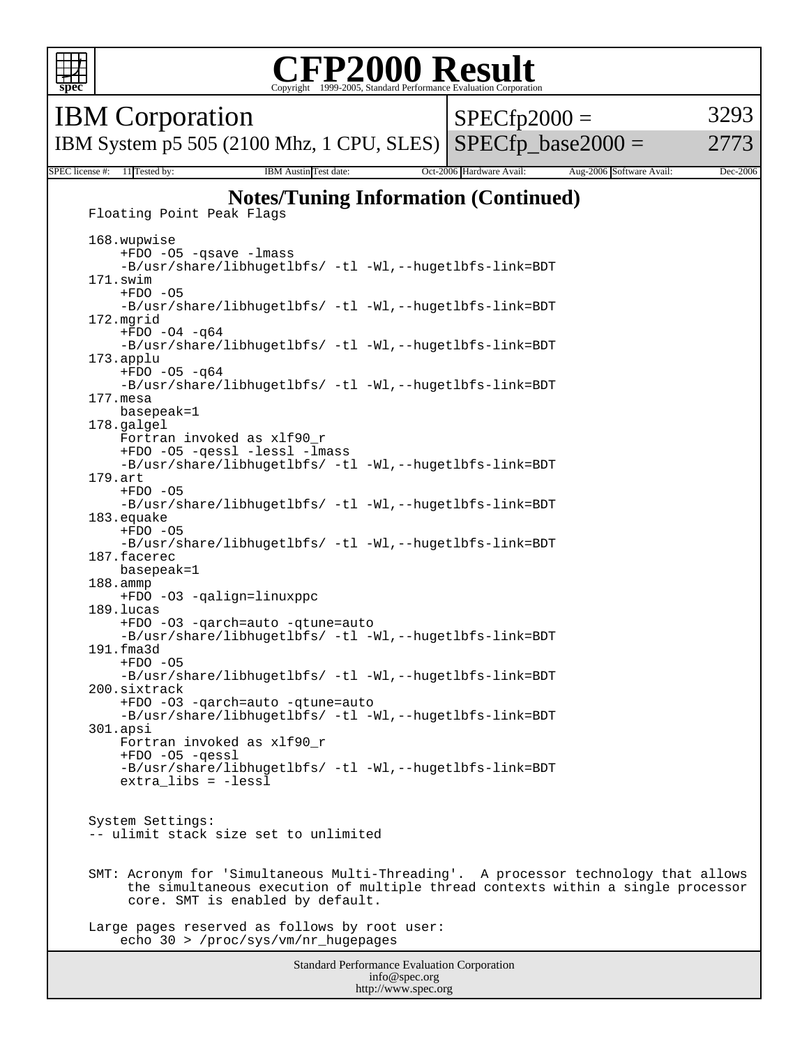